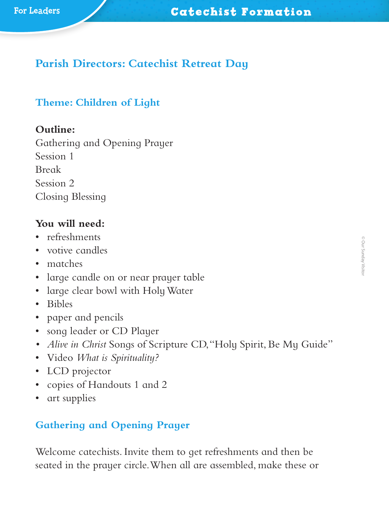# **Parish Directors: Catechist Retreat Day**

#### **Theme: Children of Light**

#### **Outline:**

Gathering and Opening Prayer Session 1 Break Session 2 Closing Blessing

#### **You will need:**

- refreshments
- votive candles
- matches
- large candle on or near prayer table
- large clear bowl with Holy Water
- Bibles
- paper and pencils
- song leader or CD Player
- *• Alive in Christ* Songs of Scripture CD, "Holy Spirit, Be My Guide"
- Video *What is Spirituality?*
- LCD projector
- copies of Handouts 1 and 2
- art supplies

## **Gathering and Opening Prayer**

Welcome catechists. Invite them to get refreshments and then be seated in the prayer circle. When all are assembled, make these or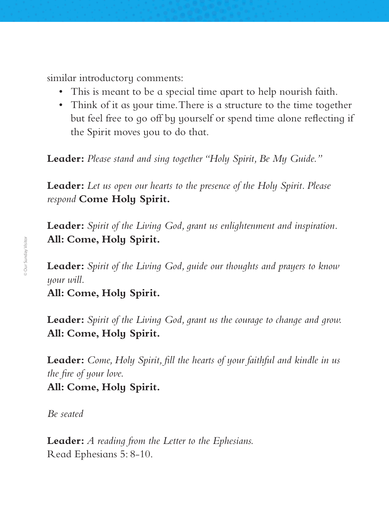similar introductory comments:

- This is meant to be a special time apart to help nourish faith.
- Think of it as your time. There is a structure to the time together but feel free to go off by yourself or spend time alone reflecting if the Spirit moves you to do that.

**Leader:** *Please stand and sing together "Holy Spirit, Be My Guide."*

**Leader:** *Let us open our hearts to the presence of the Holy Spirit. Please respond* **Come Holy Spirit.**

**Leader:** *Spirit of the Living God, grant us enlightenment and inspiration.* **All: Come, Holy Spirit.**

**Leader:** *Spirit of the Living God, guide our thoughts and prayers to know your will.*

**All: Come, Holy Spirit.**

**Leader:** *Spirit of the Living God, grant us the courage to change and grow.*  **All: Come, Holy Spirit.**

**Leader:** *Come, Holy Spirit, fill the hearts of your faithful and kindle in us the fire of your love.*

#### **All: Come, Holy Spirit.**

*Be seated*

**Leader:** *A reading from the Letter to the Ephesians.* Read Ephesians 5: 8-10.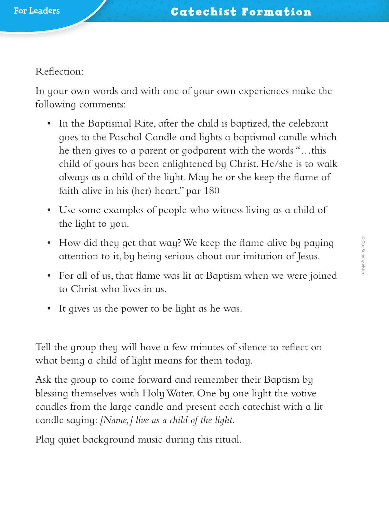Reflection:

In your own words and with one of your own experiences make the following comments:

- In the Baptismal Rite, after the child is baptized, the celebrant goes to the Paschal Candle and lights a baptismal candle which he then gives to a parent or godparent with the words "…this child of yours has been enlightened by Christ. He/she is to walk always as a child of the light. May he or she keep the flame of faith alive in his (her) heart." par 180
- Use some examples of people who witness living as a child of the light to you.
- How did they get that way? We keep the flame alive by paying attention to it, by being serious about our imitation of Jesus.
- For all of us, that flame was lit at Baptism when we were joined to Christ who lives in us.
- It gives us the power to be light as he was.

Tell the group they will have a few minutes of silence to reflect on what being a child of light means for them today.

Ask the group to come forward and remember their Baptism by blessing themselves with Holy Water. One by one light the votive candles from the large candle and present each catechist with a lit candle saying: *[Name,] live as a child of the light.*

Play quiet background music during this ritual.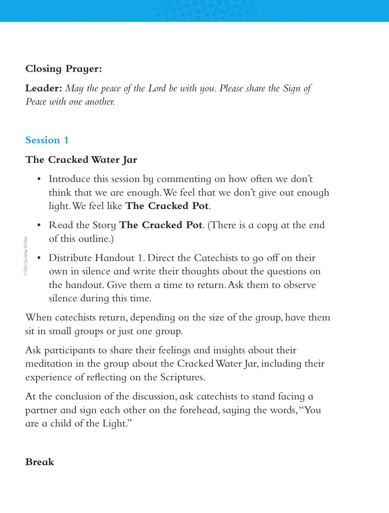# **Closing Prayer:**

**Leader:** *May the peace of the Lord be with you. Please share the Sign of Peace with one another.*

## **Session 1**

**Our Sunday Visitor** 

# **The Cracked Water Jar**

- Introduce this session by commenting on how often we don't think that we are enough. We feel that we don't give out enough light. We feel like **The Cracked Pot**.
- Read the Story **The Cracked Pot**. (There is a copy at the end of this outline.)
- Distribute Handout 1. Direct the Catechists to go off on their own in silence and write their thoughts about the questions on the handout. Give them a time to return. Ask them to observe silence during this time.

When catechists return, depending on the size of the group, have them sit in small groups or just one group.

Ask participants to share their feelings and insights about their meditation in the group about the Cracked Water Jar, including their experience of reflecting on the Scriptures. **Branch**<br> **Branch**<br> **Branch**<br> **Break** Break<br>
Break<br>
Break<br>
Break

At the conclusion of the discussion, ask catechists to stand facing a partner and sign each other on the forehead, saying the words, "You are a child of the Light."

## **Break**